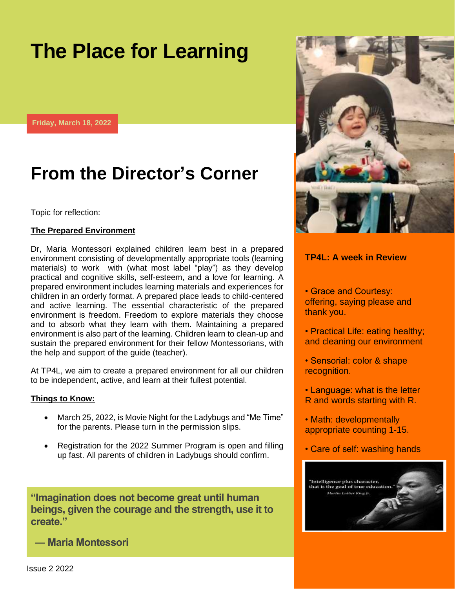# **The Place for Learning**

**Friday, March 18, 2022**

## **From the Director's Corner**

#### Topic for reflection:

#### **The Prepared Environment**

Dr, Maria Montessori explained children learn best in a prepared environment consisting of developmentally appropriate tools (learning materials) to work with (what most label "play") as they develop practical and cognitive skills, self-esteem, and a love for learning. A prepared environment includes learning materials and experiences for children in an orderly format. A prepared place leads to child-centered and active learning. The essential characteristic of the prepared environment is freedom. Freedom to explore materials they choose and to absorb what they learn with them. Maintaining a prepared environment is also part of the learning. Children learn to clean-up and sustain the prepared environment for their fellow Montessorians, with the help and support of the guide (teacher).

At TP4L, we aim to create a prepared environment for all our children to be independent, active, and learn at their fullest potential.

#### **Things to Know:**

- March 25, 2022, is Movie Night for the Ladybugs and "Me Time" for the parents. Please turn in the permission slips.
- Registration for the 2022 Summer Program is open and filling up fast. All parents of children in Ladybugs should confirm.

**"Imagination does not become great until human beings, given the courage and the strength, use it to create."**

**― Maria Montessori**



### **TP4L: A week in Review**

• Grace and Courtesy: offering, saying please and thank you.

- Practical Life: eating healthy; and cleaning our environment
- Sensorial: color & shape recognition.
- Language: what is the letter R and words starting with R.
- Math: developmentally appropriate counting 1-15.
- Care of self: washing hands



Issue 2 2022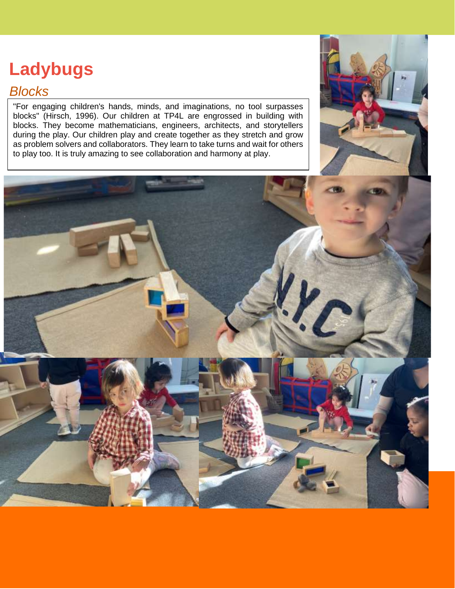# **Ladybugs**

### *Blocks*

"For engaging children's hands, minds, and imaginations, no tool surpasses blocks" (Hirsch, 1996). Our children at TP4L are engrossed in building with blocks. They become mathematicians, engineers, architects, and storytellers during the play. Our children play and create together as they stretch and grow as problem solvers and collaborators. They learn to take turns and wait for others to play too. It is truly amazing to see collaboration and harmony at play.



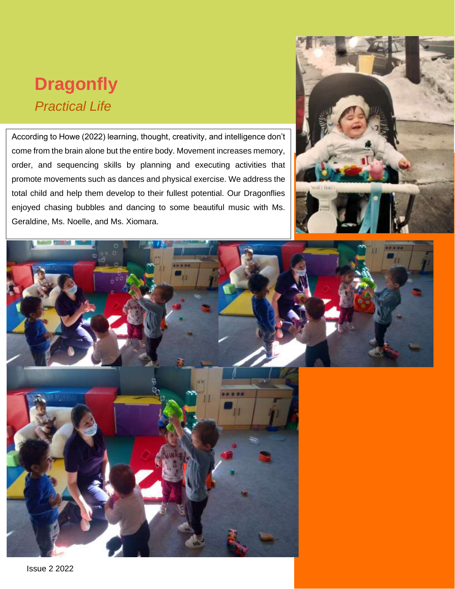## **Dragonfly** *Practical Life*

According to Howe (2022) learning, thought, creativity, and intelligence don't come from the brain alone but the entire body. Movement increases memory, order, and sequencing skills by planning and executing activities that promote movements such as dances and physical exercise. We address the total child and help them develop to their fullest potential. Our Dragonflies enjoyed chasing bubbles and dancing to some beautiful music with Ms. Geraldine, Ms. Noelle, and Ms. Xiomara.





Issue 2 2022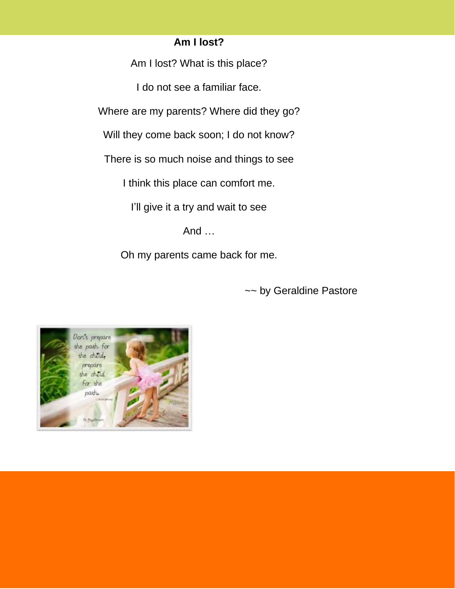### **Am I lost?**

Am I lost? What is this place?

I do not see a familiar face.

Where are my parents? Where did they go?

Will they come back soon; I do not know?

There is so much noise and things to see

I think this place can comfort me.

I'll give it a try and wait to see

And …

Oh my parents came back for me.

~~ by Geraldine Pastore

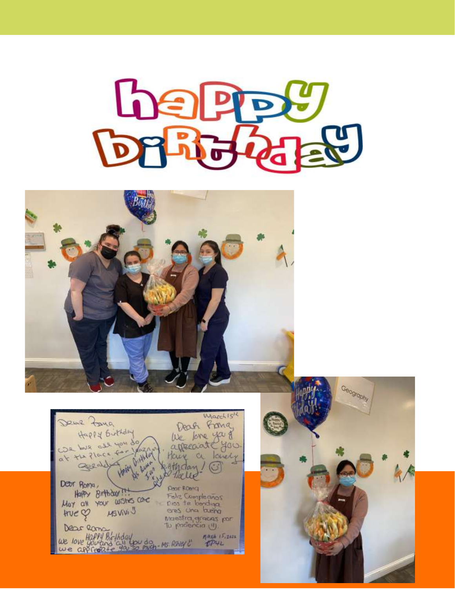



Warch 15th Deux Poug Deah Franc Happy Birthday lle lone you de We have all you do at the flock Have a lovely othday! geed Dear Roma, **Page Roma** Happy Birthday !! Feliz Compleanos<br>Cros te bondiga<br>eres Una buena Mot all your wishes care MSVIVI J  $HveQ$ Maestra graces por<br>To padencia (1) Dear Rama we love Happy Bloghday<br>we approache you do much - Ms Ashier C  $n_{P42}^{max}$   $(5,242)$ 

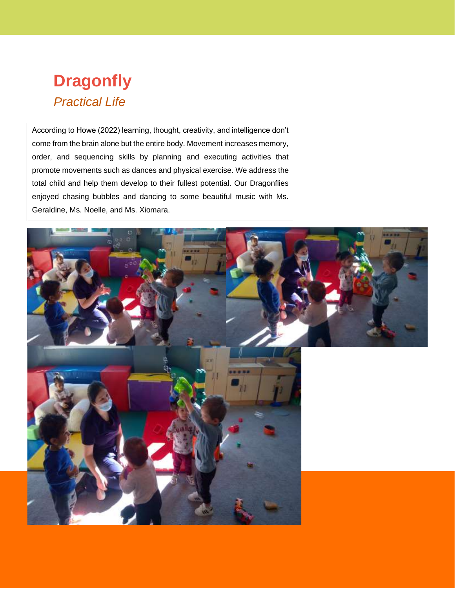## **Dragonfly** *Practical Life*

According to Howe (2022) learning, thought, creativity, and intelligence don't come from the brain alone but the entire body. Movement increases memory, order, and sequencing skills by planning and executing activities that promote movements such as dances and physical exercise. We address the total child and help them develop to their fullest potential. Our Dragonflies enjoyed chasing bubbles and dancing to some beautiful music with Ms. Geraldine, Ms. Noelle, and Ms. Xiomara.